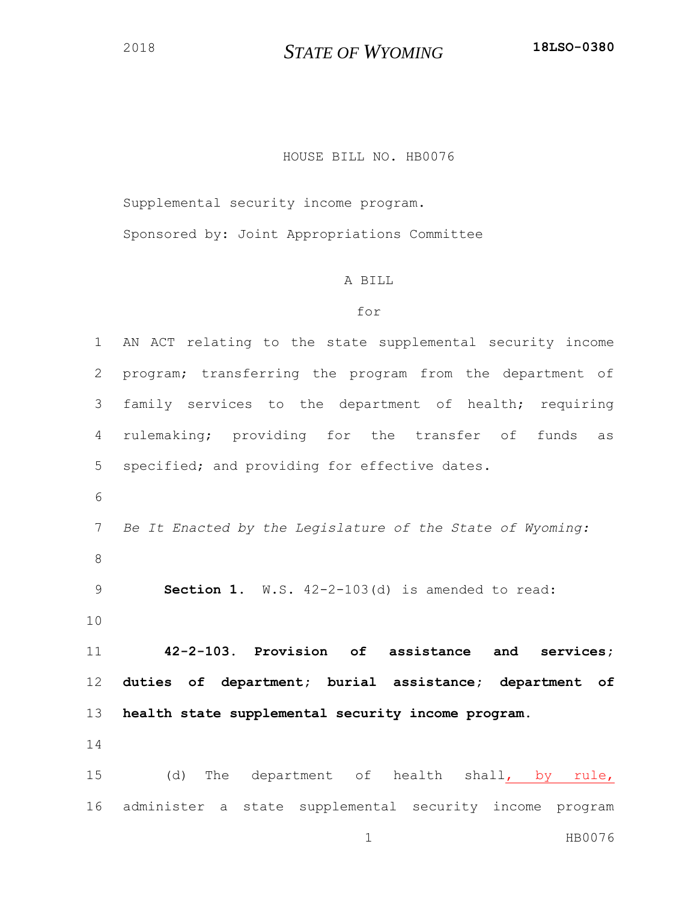## *STATE OF WYOMING* **18LSO-0380**

## HOUSE BILL NO. HB0076

Supplemental security income program.

Sponsored by: Joint Appropriations Committee

## A BILL

## for

 AN ACT relating to the state supplemental security income program; transferring the program from the department of family services to the department of health; requiring rulemaking; providing for the transfer of funds as specified; and providing for effective dates. *Be It Enacted by the Legislature of the State of Wyoming:* **Section 1.** W.S. 42-2-103(d) is amended to read: **42-2-103. Provision of assistance and services; duties of department; burial assistance; department of health state supplemental security income program.** (d) The department of health shall, by rule,

administer a state supplemental security income program

1 HB0076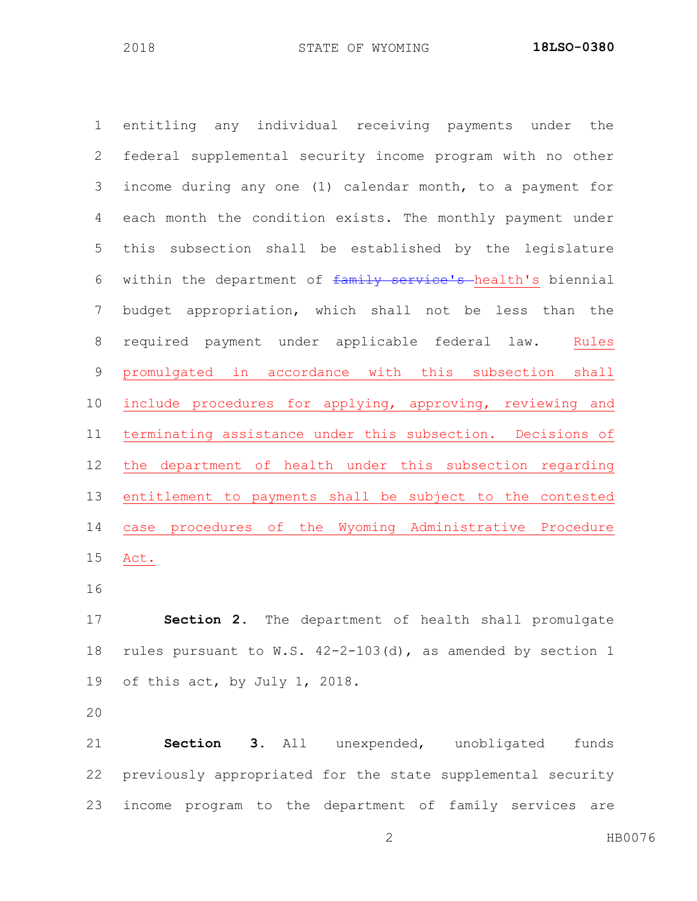entitling any individual receiving payments under the federal supplemental security income program with no other income during any one (1) calendar month, to a payment for each month the condition exists. The monthly payment under this subsection shall be established by the legislature 6 within the department of family service's health's biennial budget appropriation, which shall not be less than the required payment under applicable federal law. Rules promulgated in accordance with this subsection shall include procedures for applying, approving, reviewing and terminating assistance under this subsection. Decisions of the department of health under this subsection regarding entitlement to payments shall be subject to the contested case procedures of the Wyoming Administrative Procedure Act.

 **Section 2.** The department of health shall promulgate rules pursuant to W.S. 42-2-103(d), as amended by section 1 of this act, by July 1, 2018.

 **Section 3.** All unexpended, unobligated funds previously appropriated for the state supplemental security income program to the department of family services are